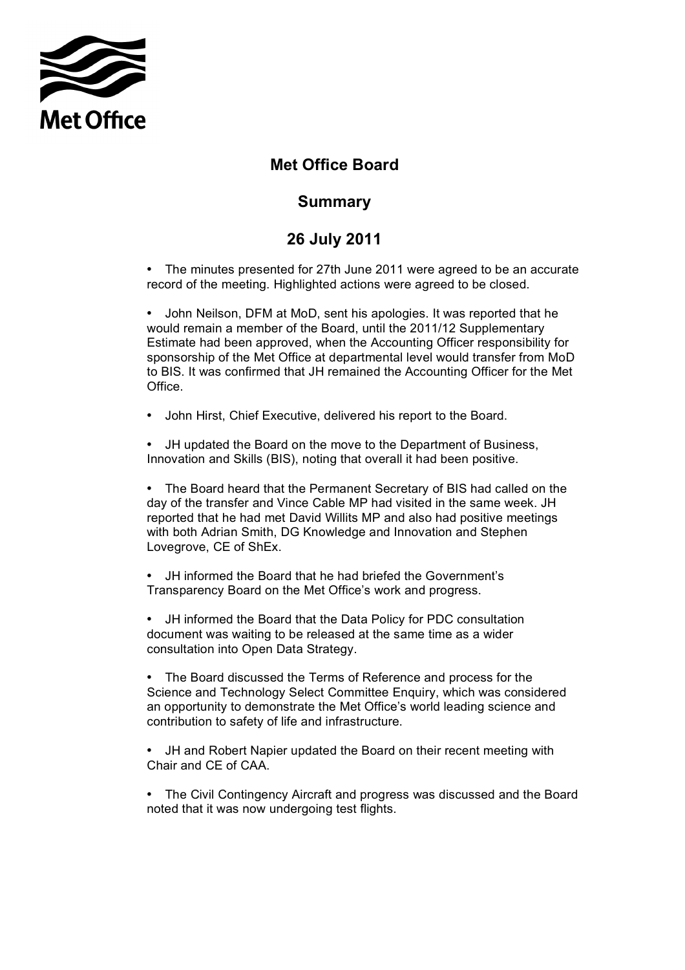

## **Met Office Board**

## **Summary**

## **26 July 2011**

 • The minutes presented for 27th June 2011 were agreed to be an accurate record of the meeting. Highlighted actions were agreed to be closed.

 • John Neilson, DFM at MoD, sent his apologies. It was reported that he would remain a member of the Board, until the 2011/12 Supplementary Estimate had been approved, when the Accounting Officer responsibility for sponsorship of the Met Office at departmental level would transfer from MoD to BIS. It was confirmed that JH remained the Accounting Officer for the Met Office.

• John Hirst, Chief Executive, delivered his report to the Board.

• JH updated the Board on the move to the Department of Business, Innovation and Skills (BIS), noting that overall it had been positive.

 day of the transfer and Vince Cable MP had visited in the same week. JH reported that he had met David Willits MP and also had positive meetings with both Adrian Smith, DG Knowledge and Innovation and Stephen Lovegrove, CE of ShEx. • The Board heard that the Permanent Secretary of BIS had called on the

 Transparency Board on the Met Office's work and progress. • JH informed the Board that he had briefed the Government's

 document was waiting to be released at the same time as a wider consultation into Open Data Strategy. • JH informed the Board that the Data Policy for PDC consultation

 • The Board discussed the Terms of Reference and process for the Science and Technology Select Committee Enquiry, which was considered an opportunity to demonstrate the Met Office's world leading science and contribution to safety of life and infrastructure.

 • JH and Robert Napier updated the Board on their recent meeting with Chair and CE of CAA.

 • The Civil Contingency Aircraft and progress was discussed and the Board noted that it was now undergoing test flights.